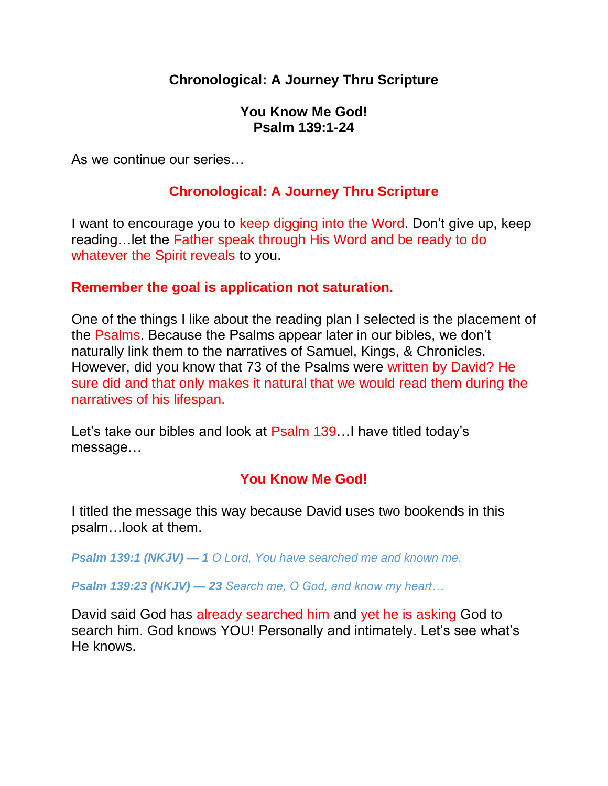# **Chronological: A Journey Thru Scripture**

### **You Know Me God! Psalm 139:1-24**

As we continue our series…

## **Chronological: A Journey Thru Scripture**

I want to encourage you to keep digging into the Word. Don't give up, keep reading…let the Father speak through His Word and be ready to do whatever the Spirit reveals to you.

### **Remember the goal is application not saturation.**

One of the things I like about the reading plan I selected is the placement of the Psalms. Because the Psalms appear later in our bibles, we don't naturally link them to the narratives of Samuel, Kings, & Chronicles. However, did you know that 73 of the Psalms were written by David? He sure did and that only makes it natural that we would read them during the narratives of his lifespan.

Let's take our bibles and look at Psalm 139…I have titled today's message…

### **You Know Me God!**

I titled the message this way because David uses two bookends in this psalm…look at them.

*Psalm 139:1 (NKJV) — 1 O Lord, You have searched me and known me.*

*Psalm 139:23 (NKJV) — 23 Search me, O God, and know my heart…*

David said God has already searched him and yet he is asking God to search him. God knows YOU! Personally and intimately. Let's see what's He knows.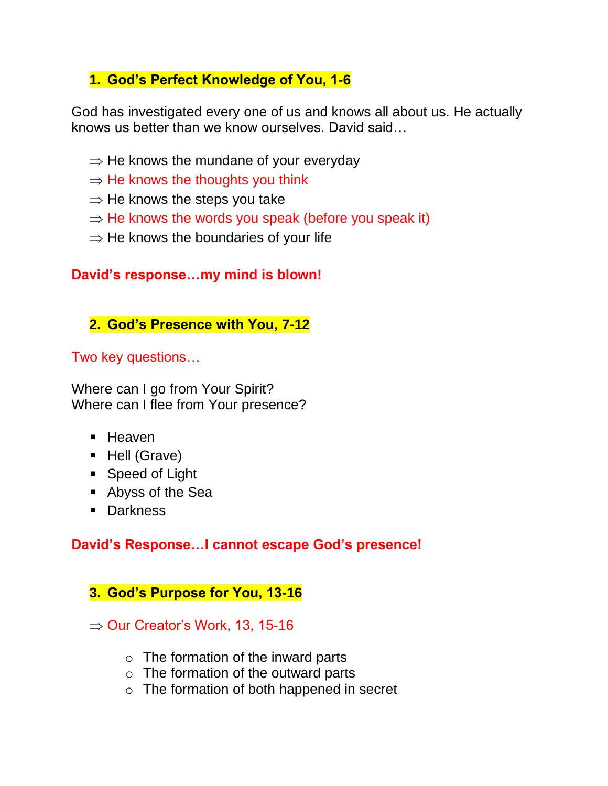# **1. God's Perfect Knowledge of You, 1-6**

God has investigated every one of us and knows all about us. He actually knows us better than we know ourselves. David said…

- $\Rightarrow$  He knows the mundane of your everyday
- $\Rightarrow$  He knows the thoughts you think
- $\Rightarrow$  He knows the steps you take
- $\Rightarrow$  He knows the words you speak (before you speak it)
- $\Rightarrow$  He knows the boundaries of your life

# **David's response…my mind is blown!**

## **2. God's Presence with You, 7-12**

#### Two key questions…

Where can I go from Your Spirit? Where can I flee from Your presence?

- $H$ eaven
- **Hell (Grave)**
- **Speed of Light**
- Abyss of the Sea
- **Darkness**

# **David's Response…I cannot escape God's presence!**

### **3. God's Purpose for You, 13-16**

- $\Rightarrow$  Our Creator's Work, 13, 15-16
	- $\circ$  The formation of the inward parts
	- $\circ$  The formation of the outward parts
	- o The formation of both happened in secret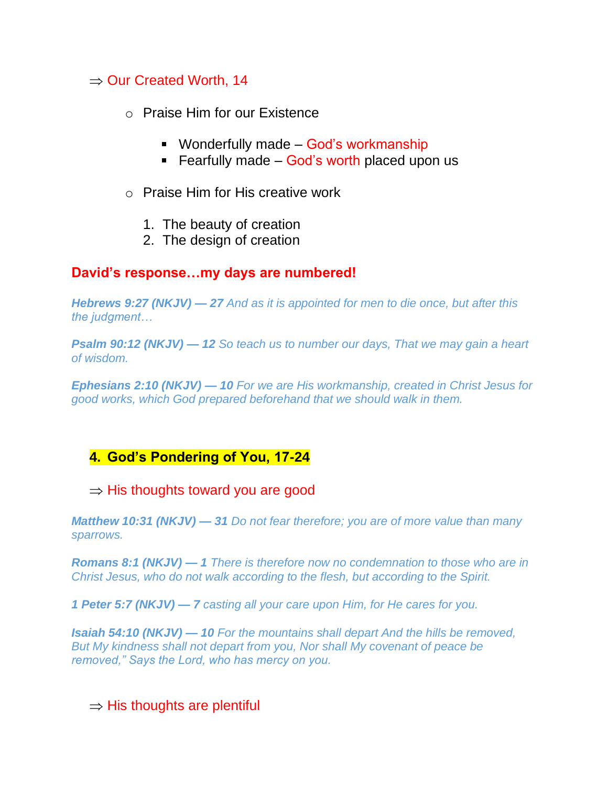## $\Rightarrow$  Our Created Worth, 14

- o Praise Him for our Existence
	- Wonderfully made God's workmanship
	- Fearfully made  $-$  God's worth placed upon us
- o Praise Him for His creative work
	- 1. The beauty of creation
	- 2. The design of creation

### **David's response…my days are numbered!**

*Hebrews 9:27 (NKJV) — 27 And as it is appointed for men to die once, but after this the judgment…*

*Psalm 90:12 (NKJV) — 12 So teach us to number our days, That we may gain a heart of wisdom.*

*Ephesians 2:10 (NKJV) — 10 For we are His workmanship, created in Christ Jesus for good works, which God prepared beforehand that we should walk in them.*

# **4. God's Pondering of You, 17-24**

 $\Rightarrow$  His thoughts toward you are good

*Matthew 10:31 (NKJV) — 31 Do not fear therefore; you are of more value than many sparrows.*

*Romans 8:1 (NKJV) — 1 There is therefore now no condemnation to those who are in Christ Jesus, who do not walk according to the flesh, but according to the Spirit.*

*1 Peter 5:7 (NKJV) — 7 casting all your care upon Him, for He cares for you.*

*Isaiah 54:10 (NKJV) — 10 For the mountains shall depart And the hills be removed, But My kindness shall not depart from you, Nor shall My covenant of peace be removed," Says the Lord, who has mercy on you.*

### $\Rightarrow$  His thoughts are plentiful